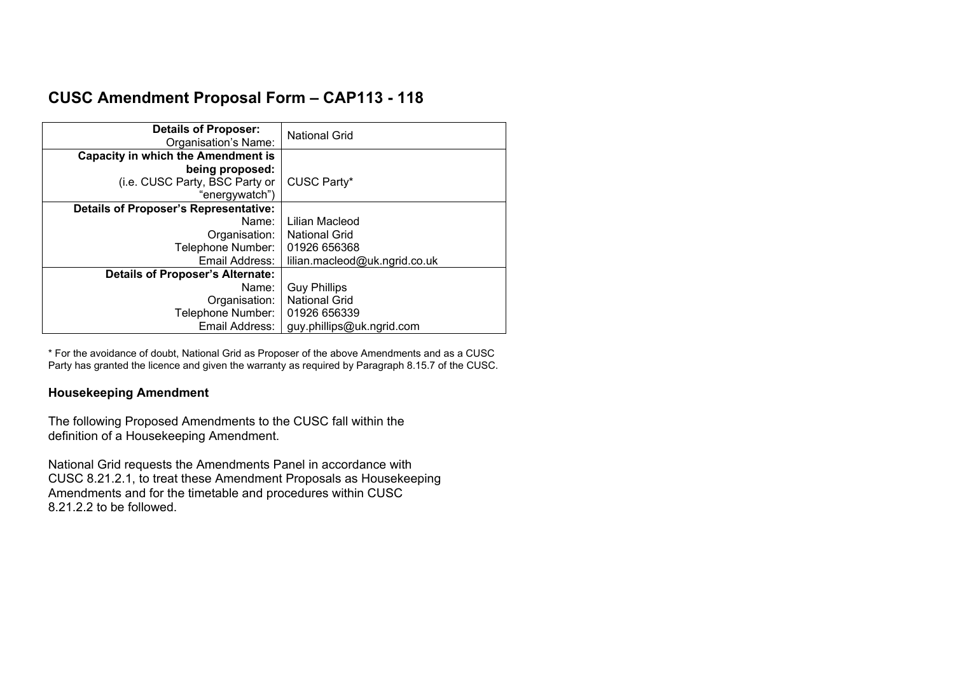# **CUSC Amendment Proposal Form – CAP113 - 118**

| <b>Details of Proposer:</b><br>Organisation's Name: | <b>National Grid</b>          |
|-----------------------------------------------------|-------------------------------|
| <b>Capacity in which the Amendment is</b>           |                               |
| being proposed:                                     |                               |
| (i.e. CUSC Party, BSC Party or                      | CUSC Party*                   |
| "energywatch")                                      |                               |
| <b>Details of Proposer's Representative:</b>        |                               |
| Name:                                               | Lilian Macleod                |
| Organisation:                                       | <b>National Grid</b>          |
| Telephone Number:                                   | 01926 656368                  |
| Email Address:                                      | lilian.macleod@uk.ngrid.co.uk |
| <b>Details of Proposer's Alternate:</b>             |                               |
| Name:                                               | <b>Guy Phillips</b>           |
| Organisation:                                       | <b>National Grid</b>          |
| Telephone Number:                                   | 01926 656339                  |
| Email Address:                                      | guy.phillips@uk.ngrid.com     |

\* For the avoidance of doubt, National Grid as Proposer of the above Amendments and as a CUSC Party has granted the licence and given the warranty as required by Paragraph 8.15.7 of the CUSC.

# **Housekeeping Amendment**

The following Proposed Amendments to the CUSC fall within the definition of a Housekeeping Amendment.

National Grid requests the Amendments Panel in accordance with CUSC 8.21.2.1, to treat these Amendment Proposals as Housekeeping Amendments and for the timetable and procedures within CUSC 8.21.2.2 to be followed.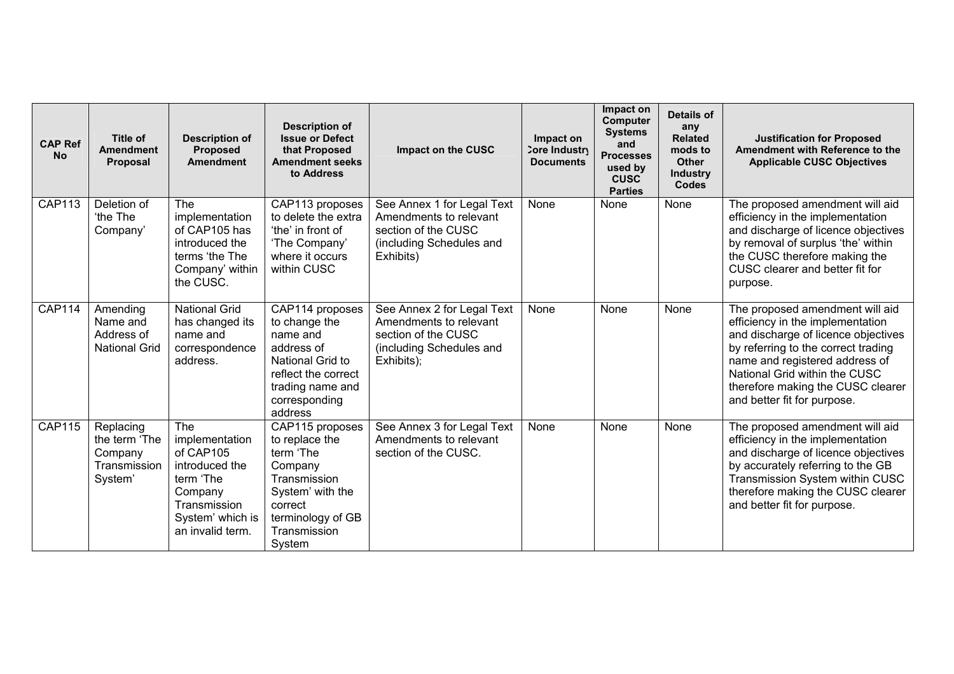| <b>CAP Ref</b><br><b>No</b> | Title of<br><b>Amendment</b><br><b>Proposal</b>                  | <b>Description of</b><br><b>Proposed</b><br><b>Amendment</b>                                                                                | <b>Description of</b><br><b>Issue or Defect</b><br>that Proposed<br><b>Amendment seeks</b><br>to Address                                                | Impact on the CUSC                                                                                                    | Impact on<br>Core Industry<br><b>Documents</b> | Impact on<br><b>Computer</b><br><b>Systems</b><br>and<br><b>Processes</b><br>used by<br><b>CUSC</b><br><b>Parties</b> | Details of<br>any<br><b>Related</b><br>mods to<br>Other<br><b>Industry</b><br><b>Codes</b> | <b>Justification for Proposed</b><br>Amendment with Reference to the<br><b>Applicable CUSC Objectives</b>                                                                                                                                                                                |
|-----------------------------|------------------------------------------------------------------|---------------------------------------------------------------------------------------------------------------------------------------------|---------------------------------------------------------------------------------------------------------------------------------------------------------|-----------------------------------------------------------------------------------------------------------------------|------------------------------------------------|-----------------------------------------------------------------------------------------------------------------------|--------------------------------------------------------------------------------------------|------------------------------------------------------------------------------------------------------------------------------------------------------------------------------------------------------------------------------------------------------------------------------------------|
| <b>CAP113</b>               | Deletion of<br>'the The<br>Company'                              | <b>The</b><br>implementation<br>of CAP105 has<br>introduced the<br>terms 'the The<br>Company' within<br>the CUSC.                           | CAP113 proposes<br>to delete the extra<br>'the' in front of<br>'The Company'<br>where it occurs<br>within CUSC                                          | See Annex 1 for Legal Text<br>Amendments to relevant<br>section of the CUSC<br>(including Schedules and<br>Exhibits)  | None                                           | None                                                                                                                  | None                                                                                       | The proposed amendment will aid<br>efficiency in the implementation<br>and discharge of licence objectives<br>by removal of surplus 'the' within<br>the CUSC therefore making the<br>CUSC clearer and better fit for<br>purpose.                                                         |
| <b>CAP114</b>               | Amending<br>Name and<br>Address of<br><b>National Grid</b>       | <b>National Grid</b><br>has changed its<br>name and<br>correspondence<br>address.                                                           | CAP114 proposes<br>to change the<br>name and<br>address of<br>National Grid to<br>reflect the correct<br>trading name and<br>corresponding<br>address   | See Annex 2 for Legal Text<br>Amendments to relevant<br>section of the CUSC<br>(including Schedules and<br>Exhibits); | None                                           | None                                                                                                                  | None                                                                                       | The proposed amendment will aid<br>efficiency in the implementation<br>and discharge of licence objectives<br>by referring to the correct trading<br>name and registered address of<br>National Grid within the CUSC<br>therefore making the CUSC clearer<br>and better fit for purpose. |
| <b>CAP115</b>               | Replacing<br>the term 'The<br>Company<br>Transmission<br>System' | <b>The</b><br>implementation<br>of CAP105<br>introduced the<br>term 'The<br>Company<br>Transmission<br>System' which is<br>an invalid term. | CAP115 proposes<br>to replace the<br>term 'The<br>Company<br>Transmission<br>System' with the<br>correct<br>terminology of GB<br>Transmission<br>System | See Annex 3 for Legal Text<br>Amendments to relevant<br>section of the CUSC.                                          | None                                           | None                                                                                                                  | None                                                                                       | The proposed amendment will aid<br>efficiency in the implementation<br>and discharge of licence objectives<br>by accurately referring to the GB<br>Transmission System within CUSC<br>therefore making the CUSC clearer<br>and better fit for purpose.                                   |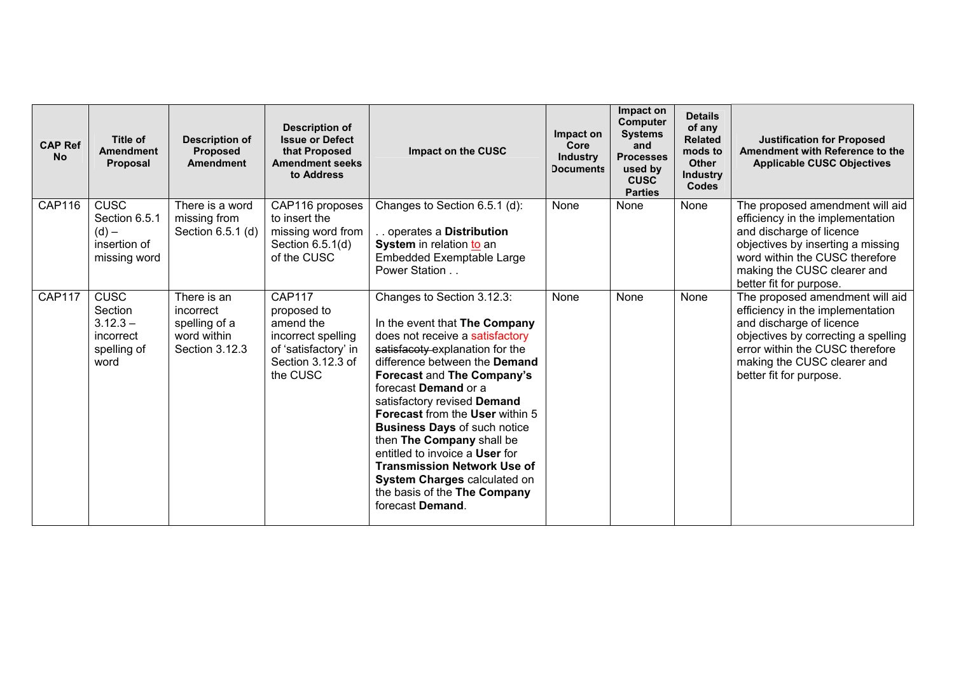| <b>CAP Ref</b><br><b>No</b> | Title of<br><b>Amendment</b><br>Proposal                                      | <b>Description of</b><br><b>Proposed</b><br><b>Amendment</b>               | <b>Description of</b><br><b>Issue or Defect</b><br>that Proposed<br><b>Amendment seeks</b><br>to Address                 | Impact on the CUSC                                                                                                                                                                                                                                                                                                                                                                                                                                                                                                                       | Impact on<br>Core<br><b>Industry</b><br><b>Documents</b> | Impact on<br><b>Computer</b><br><b>Systems</b><br>and<br><b>Processes</b><br>used by<br><b>CUSC</b><br><b>Parties</b> | <b>Details</b><br>of any<br><b>Related</b><br>mods to<br><b>Other</b><br><b>Industry</b><br><b>Codes</b> | <b>Justification for Proposed</b><br>Amendment with Reference to the<br><b>Applicable CUSC Objectives</b>                                                                                                                           |
|-----------------------------|-------------------------------------------------------------------------------|----------------------------------------------------------------------------|--------------------------------------------------------------------------------------------------------------------------|------------------------------------------------------------------------------------------------------------------------------------------------------------------------------------------------------------------------------------------------------------------------------------------------------------------------------------------------------------------------------------------------------------------------------------------------------------------------------------------------------------------------------------------|----------------------------------------------------------|-----------------------------------------------------------------------------------------------------------------------|----------------------------------------------------------------------------------------------------------|-------------------------------------------------------------------------------------------------------------------------------------------------------------------------------------------------------------------------------------|
| CAP116                      | $CUS\overline{C}$<br>Section 6.5.1<br>$(d)$ –<br>insertion of<br>missing word | There is a word<br>missing from<br>Section 6.5.1 (d)                       | CAP116 proposes<br>to insert the<br>missing word from<br>Section $6.5.1(d)$<br>of the CUSC                               | Changes to Section 6.5.1 (d):<br>operates a Distribution<br>System in relation to an<br>Embedded Exemptable Large<br>Power Station                                                                                                                                                                                                                                                                                                                                                                                                       | None                                                     | None                                                                                                                  | None                                                                                                     | The proposed amendment will aid<br>efficiency in the implementation<br>and discharge of licence<br>objectives by inserting a missing<br>word within the CUSC therefore<br>making the CUSC clearer and<br>better fit for purpose.    |
| <b>CAP117</b>               | <b>CUSC</b><br>Section<br>$3.12.3 -$<br>incorrect<br>spelling of<br>word      | There is an<br>incorrect<br>spelling of a<br>word within<br>Section 3.12.3 | <b>CAP117</b><br>proposed to<br>amend the<br>incorrect spelling<br>of 'satisfactory' in<br>Section 3.12.3 of<br>the CUSC | Changes to Section 3.12.3:<br>In the event that The Company<br>does not receive a satisfactory<br>satisfacety explanation for the<br>difference between the <b>Demand</b><br>Forecast and The Company's<br>forecast Demand or a<br>satisfactory revised Demand<br><b>Forecast from the User within 5</b><br><b>Business Days of such notice</b><br>then The Company shall be<br>entitled to invoice a User for<br><b>Transmission Network Use of</b><br>System Charges calculated on<br>the basis of the The Company<br>forecast Demand. | None                                                     | None                                                                                                                  | None                                                                                                     | The proposed amendment will aid<br>efficiency in the implementation<br>and discharge of licence<br>objectives by correcting a spelling<br>error within the CUSC therefore<br>making the CUSC clearer and<br>better fit for purpose. |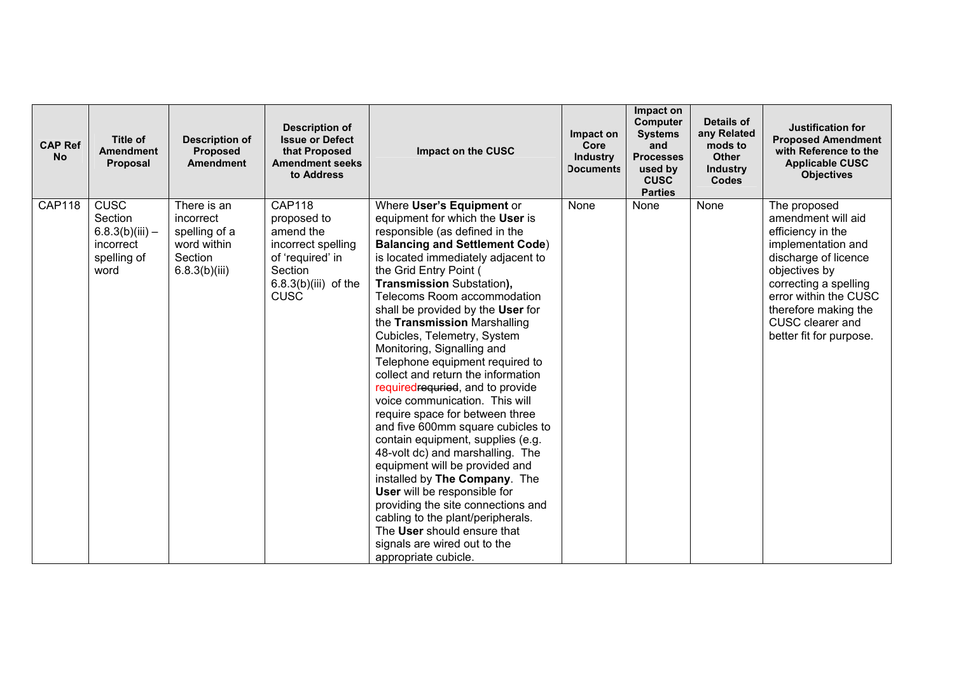| <b>CAP Ref</b><br><b>No</b> | Title of<br><b>Amendment</b><br>Proposal                                        | <b>Description of</b><br><b>Proposed</b><br><b>Amendment</b>                         | <b>Description of</b><br><b>Issue or Defect</b><br>that Proposed<br><b>Amendment seeks</b><br>to Address                                | Impact on the CUSC                                                                                                                                                                                                                                                                                                                                                                                                                                                                                                                                                                                                                                                                                                                                                                                                                                                                                                                                                                | Impact on<br>Core<br><b>Industry</b><br><b>Documents</b> | Impact on<br><b>Computer</b><br><b>Systems</b><br>and<br><b>Processes</b><br>used by<br><b>CUSC</b><br><b>Parties</b> | Details of<br>any Related<br>mods to<br>Other<br><b>Industry</b><br><b>Codes</b> | Justification for<br><b>Proposed Amendment</b><br>with Reference to the<br><b>Applicable CUSC</b><br><b>Objectives</b>                                                                                                                          |
|-----------------------------|---------------------------------------------------------------------------------|--------------------------------------------------------------------------------------|-----------------------------------------------------------------------------------------------------------------------------------------|-----------------------------------------------------------------------------------------------------------------------------------------------------------------------------------------------------------------------------------------------------------------------------------------------------------------------------------------------------------------------------------------------------------------------------------------------------------------------------------------------------------------------------------------------------------------------------------------------------------------------------------------------------------------------------------------------------------------------------------------------------------------------------------------------------------------------------------------------------------------------------------------------------------------------------------------------------------------------------------|----------------------------------------------------------|-----------------------------------------------------------------------------------------------------------------------|----------------------------------------------------------------------------------|-------------------------------------------------------------------------------------------------------------------------------------------------------------------------------------------------------------------------------------------------|
| <b>CAP118</b>               | <b>CUSC</b><br>Section<br>$6.8.3(b)(iii) -$<br>incorrect<br>spelling of<br>word | There is an<br>incorrect<br>spelling of a<br>word within<br>Section<br>6.8.3(b)(iii) | <b>CAP118</b><br>proposed to<br>amend the<br>incorrect spelling<br>of 'required' in<br>Section<br>$6.8.3(b)(iii)$ of the<br><b>CUSC</b> | Where User's Equipment or<br>equipment for which the User is<br>responsible (as defined in the<br><b>Balancing and Settlement Code)</b><br>is located immediately adjacent to<br>the Grid Entry Point (<br><b>Transmission Substation),</b><br>Telecoms Room accommodation<br>shall be provided by the User for<br>the Transmission Marshalling<br>Cubicles, Telemetry, System<br>Monitoring, Signalling and<br>Telephone equipment required to<br>collect and return the information<br>requiredrequried, and to provide<br>voice communication. This will<br>require space for between three<br>and five 600mm square cubicles to<br>contain equipment, supplies (e.g.<br>48-volt dc) and marshalling. The<br>equipment will be provided and<br>installed by The Company. The<br>User will be responsible for<br>providing the site connections and<br>cabling to the plant/peripherals.<br>The User should ensure that<br>signals are wired out to the<br>appropriate cubicle. | None                                                     | None                                                                                                                  | None                                                                             | The proposed<br>amendment will aid<br>efficiency in the<br>implementation and<br>discharge of licence<br>objectives by<br>correcting a spelling<br>error within the CUSC<br>therefore making the<br>CUSC clearer and<br>better fit for purpose. |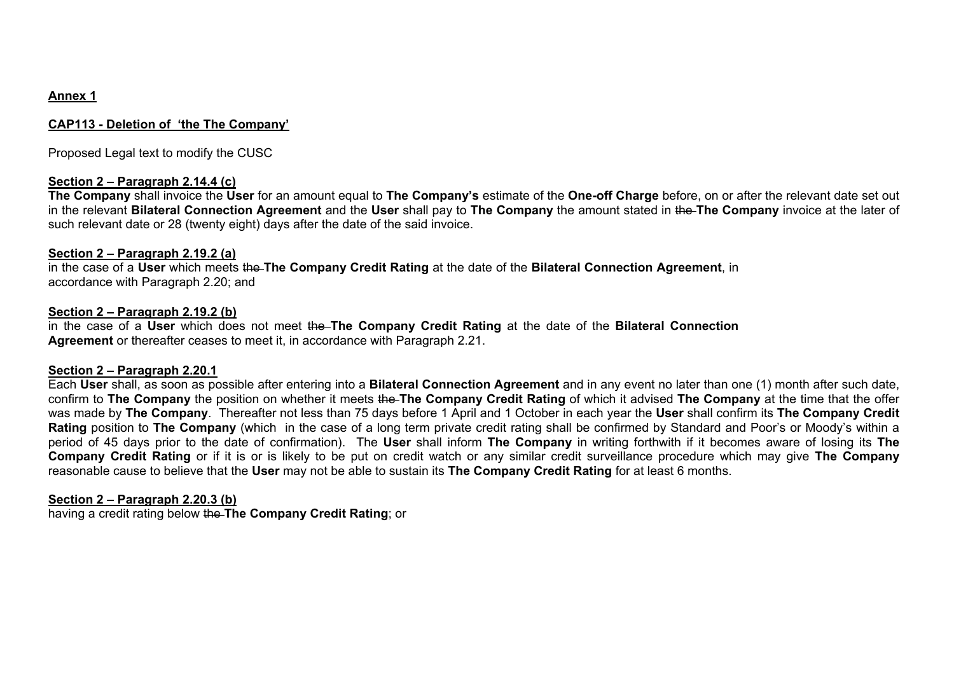# **Annex 1**

#### **CAP113 - Deletion of 'the The Company'**

Proposed Legal text to modify the CUSC

#### **Section 2 – Paragraph 2.14.4 (c)**

**The Company** shall invoice the **User** for an amount equal to **The Company's** estimate of the **One-off Charge** before, on or after the relevant date set out in the relevant **Bilateral Connection Agreement** and the **User** shall pay to **The Company** the amount stated in the **The Company** invoice at the later of such relevant date or 28 (twenty eight) days after the date of the said invoice.

#### **Section 2 – Paragraph 2.19.2 (a)**

in the case of a **User** which meets the **The Company Credit Rating** at the date of the **Bilateral Connection Agreement**, in accordance with Paragraph 2.20; and

#### **Section 2 – Paragraph 2.19.2 (b)**

in the case of a **User** which does not meet the **The Company Credit Rating** at the date of the **Bilateral Connection Agreement** or thereafter ceases to meet it, in accordance with Paragraph 2.21.

#### **Section 2 – Paragraph 2.20.1**

Each **User** shall, as soon as possible after entering into a **Bilateral Connection Agreement** and in any event no later than one (1) month after such date, confirm to **The Company** the position on whether it meets the **The Company Credit Rating** of which it advised **The Company** at the time that the offer was made by **The Company**. Thereafter not less than 75 days before 1 April and 1 October in each year the **User** shall confirm its **The Company Credit Rating** position to **The Company** (which in the case of a long term private credit rating shall be confirmed by Standard and Poor's or Moody's within a period of 45 days prior to the date of confirmation). The **User** shall inform **The Company** in writing forthwith if it becomes aware of losing its **The Company Credit Rating** or if it is or is likely to be put on credit watch or any similar credit surveillance procedure which may give **The Company** reasonable cause to believe that the **User** may not be able to sustain its **The Company Credit Rating** for at least 6 months.

#### **Section 2 – Paragraph 2.20.3 (b)**

having a credit rating below the **The Company Credit Rating**; or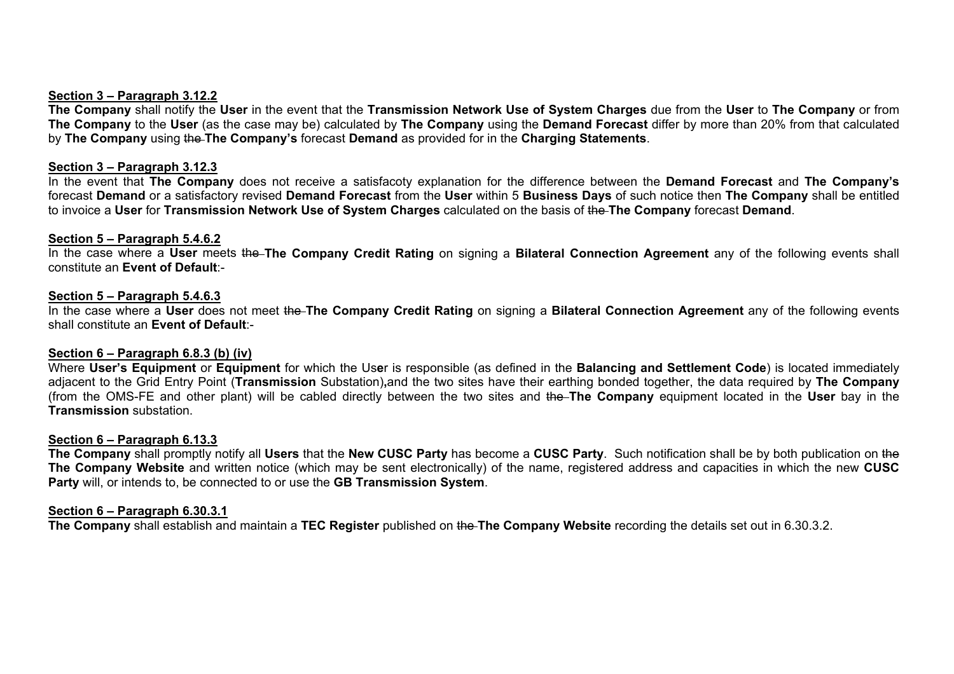#### **Section 3 – Paragraph 3.12.2**

**The Company** shall notify the **User** in the event that the **Transmission Network Use of System Charges** due from the **User** to **The Company** or from **The Company** to the **User** (as the case may be) calculated by **The Company** using the **Demand Forecast** differ by more than 20% from that calculated by **The Company** using the **The Company's** forecast **Demand** as provided for in the **Charging Statements**.

#### **Section 3 – Paragraph 3.12.3**

In the event that **The Company** does not receive a satisfacoty explanation for the difference between the **Demand Forecast** and **The Company's**  forecast **Demand** or a satisfactory revised **Demand Forecast** from the **User** within 5 **Business Days** of such notice then **The Company** shall be entitled to invoice a **User** for **Transmission Network Use of System Charges** calculated on the basis of the **The Company** forecast **Demand**.

#### **Section 5 – Paragraph 5.4.6.2**

In the case where a **User** meets the **The Company Credit Rating** on signing a **Bilateral Connection Agreement** any of the following events shall constitute an **Event of Default**:-

#### **Section 5 – Paragraph 5.4.6.3**

In the case where a **User** does not meet the **The Company Credit Rating** on signing a **Bilateral Connection Agreement** any of the following events shall constitute an **Event of Default**:-

# **Section 6 – Paragraph 6.8.3 (b) (iv)**

Where **User's Equipment** or **Equipment** for which the Us**e**r is responsible (as defined in the **Balancing and Settlement Code**) is located immediately adjacent to the Grid Entry Point (**Transmission** Substation)**,**and the two sites have their earthing bonded together, the data required by **The Company** (from the OMS-FE and other plant) will be cabled directly between the two sites and the **The Company** equipment located in the **User** bay in the **Transmission** substation.

#### **Section 6 – Paragraph 6.13.3**

**The Company** shall promptly notify all **Users** that the **New CUSC Party** has become a **CUSC Party**. Such notification shall be by both publication on the **The Company Website** and written notice (which may be sent electronically) of the name, registered address and capacities in which the new **CUSC Party** will, or intends to, be connected to or use the **GB Transmission System**.

#### **Section 6 – Paragraph 6.30.3.1**

**The Company** shall establish and maintain a **TEC Register** published on the **The Company Website** recording the details set out in 6.30.3.2.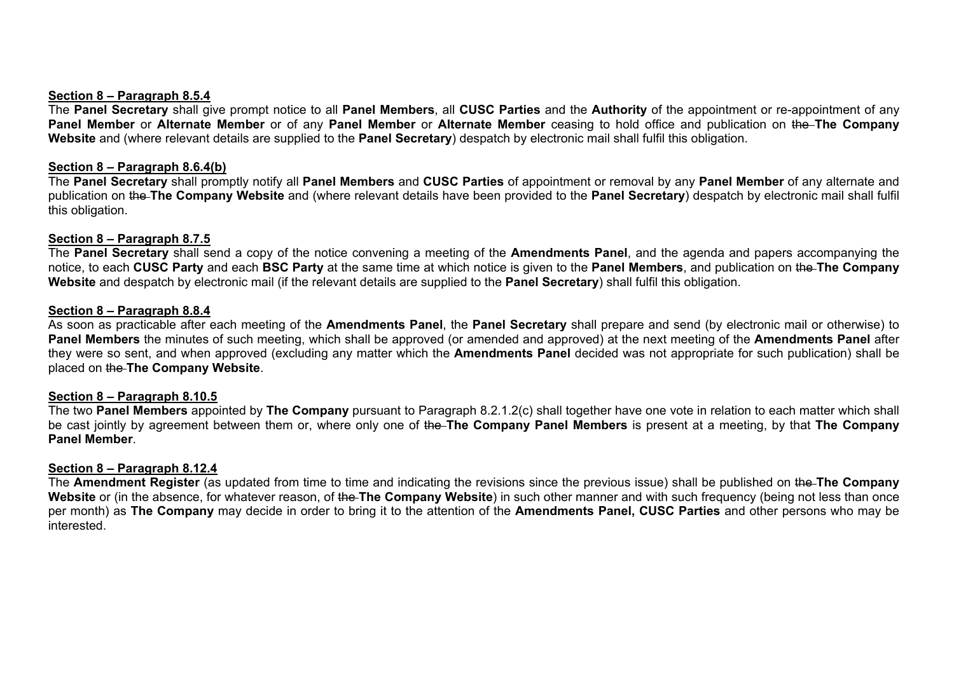#### **Section 8 – Paragraph 8.5.4**

The **Panel Secretary** shall give prompt notice to all **Panel Members**, all **CUSC Parties** and the **Authority** of the appointment or re-appointment of any **Panel Member** or **Alternate Member** or of any **Panel Member** or **Alternate Member** ceasing to hold office and publication on the **The Company Website** and (where relevant details are supplied to the **Panel Secretary**) despatch by electronic mail shall fulfil this obligation.

#### **Section 8 – Paragraph 8.6.4(b)**

The **Panel Secretary** shall promptly notify all **Panel Members** and **CUSC Parties** of appointment or removal by any **Panel Member** of any alternate and publication on the **The Company Website** and (where relevant details have been provided to the **Panel Secretary**) despatch by electronic mail shall fulfil this obligation.

#### **Section 8 – Paragraph 8.7.5**

The **Panel Secretary** shall send a copy of the notice convening a meeting of the **Amendments Panel**, and the agenda and papers accompanying the notice, to each **CUSC Party** and each **BSC Party** at the same time at which notice is given to the **Panel Members**, and publication on the **The Company Website** and despatch by electronic mail (if the relevant details are supplied to the **Panel Secretary**) shall fulfil this obligation.

#### **Section 8 – Paragraph 8.8.4**

As soon as practicable after each meeting of the **Amendments Panel**, the **Panel Secretary** shall prepare and send (by electronic mail or otherwise) to **Panel Members** the minutes of such meeting, which shall be approved (or amended and approved) at the next meeting of the **Amendments Panel** after they were so sent, and when approved (excluding any matter which the **Amendments Panel** decided was not appropriate for such publication) shall be placed on the **The Company Website**.

#### **Section 8 – Paragraph 8.10.5**

The two **Panel Members** appointed by **The Company** pursuant to Paragraph 8.2.1.2(c) shall together have one vote in relation to each matter which shall be cast jointly by agreement between them or, where only one of the **The Company Panel Members** is present at a meeting, by that **The Company Panel Member**.

#### **Section 8 – Paragraph 8.12.4**

The **Amendment Register** (as updated from time to time and indicating the revisions since the previous issue) shall be published on the **The Company Website** or (in the absence, for whatever reason, of the **The Company Website**) in such other manner and with such frequency (being not less than once per month) as **The Company** may decide in order to bring it to the attention of the **Amendments Panel, CUSC Parties** and other persons who may be interested.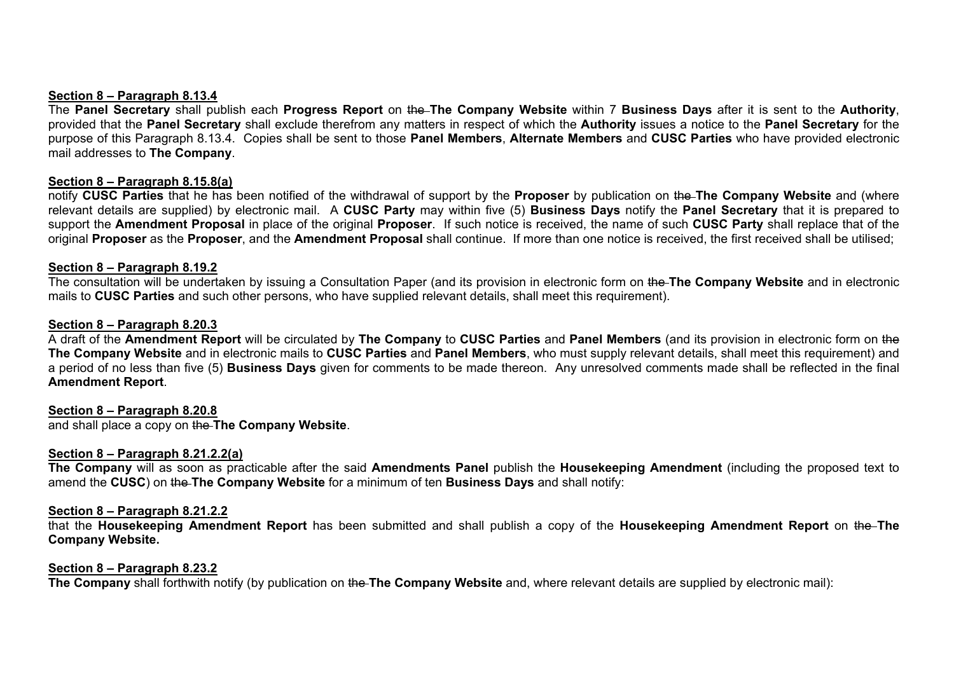#### **Section 8 – Paragraph 8.13.4**

The **Panel Secretary** shall publish each **Progress Report** on the **The Company Website** within 7 **Business Days** after it is sent to the **Authority**, provided that the **Panel Secretary** shall exclude therefrom any matters in respect of which the **Authority** issues a notice to the **Panel Secretary** for the purpose of this Paragraph 8.13.4. Copies shall be sent to those **Panel Members**, **Alternate Members** and **CUSC Parties** who have provided electronic mail addresses to **The Company**.

#### **Section 8 – Paragraph 8.15.8(a)**

notify **CUSC Parties** that he has been notified of the withdrawal of support by the **Proposer** by publication on the **The Company Website** and (where relevant details are supplied) by electronic mail. A **CUSC Party** may within five (5) **Business Days** notify the **Panel Secretary** that it is prepared to support the **Amendment Proposal** in place of the original **Proposer**. If such notice is received, the name of such **CUSC Party** shall replace that of the original **Proposer** as the **Proposer**, and the **Amendment Proposal** shall continue. If more than one notice is received, the first received shall be utilised;

#### **Section 8 – Paragraph 8.19.2**

The consultation will be undertaken by issuing a Consultation Paper (and its provision in electronic form on the **The Company Website** and in electronic mails to **CUSC Parties** and such other persons, who have supplied relevant details, shall meet this requirement).

#### **Section 8 – Paragraph 8.20.3**

A draft of the **Amendment Report** will be circulated by **The Company** to **CUSC Parties** and **Panel Members** (and its provision in electronic form on the **The Company Website** and in electronic mails to **CUSC Parties** and **Panel Members**, who must supply relevant details, shall meet this requirement) and a period of no less than five (5) **Business Days** given for comments to be made thereon. Any unresolved comments made shall be reflected in the final **Amendment Report**.

#### **Section 8 – Paragraph 8.20.8**

and shall place a copy on the **The Company Website**.

#### **Section 8 – Paragraph 8.21.2.2(a)**

**The Company** will as soon as practicable after the said **Amendments Panel** publish the **Housekeeping Amendment** (including the proposed text to amend the **CUSC**) on the **The Company Website** for a minimum of ten **Business Days** and shall notify:

#### **Section 8 – Paragraph 8.21.2.2**

that the **Housekeeping Amendment Report** has been submitted and shall publish a copy of the **Housekeeping Amendment Report** on the **The Company Website.**

#### **Section 8 – Paragraph 8.23.2**

**The Company** shall forthwith notify (by publication on the The Company Website and, where relevant details are supplied by electronic mail):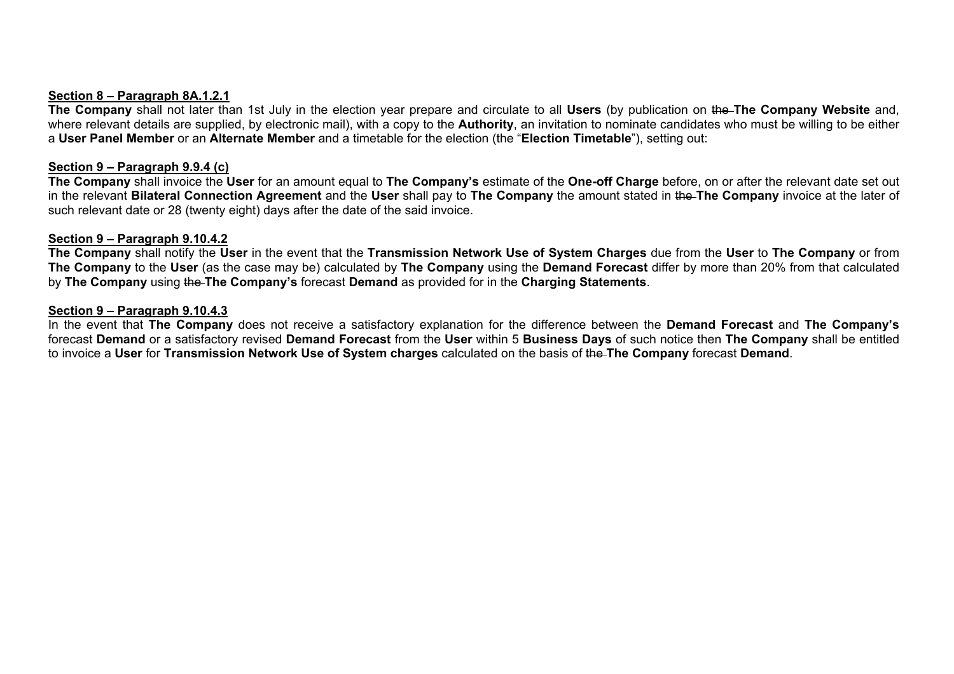#### **Section 8 – Paragraph 8A.1.2.1**

**The Company** shall not later than 1st July in the election year prepare and circulate to all **Users** (by publication on the **The Company Website** and, where relevant details are supplied, by electronic mail), with a copy to the **Authority**, an invitation to nominate candidates who must be willing to be either a **User Panel Member** or an **Alternate Member** and a timetable for the election (the "**Election Timetable**"), setting out:

#### **Section 9 – Paragraph 9.9.4 (c)**

**The Company** shall invoice the **User** for an amount equal to **The Company's** estimate of the **One-off Charge** before, on or after the relevant date set out in the relevant **Bilateral Connection Agreement** and the **User** shall pay to **The Company** the amount stated in the **The Company** invoice at the later of such relevant date or 28 (twenty eight) days after the date of the said invoice.

#### **Section 9 – Paragraph 9.10.4.2**

**The Company** shall notify the **User** in the event that the **Transmission Network Use of System Charges** due from the **User** to **The Company** or from **The Company** to the **User** (as the case may be) calculated by **The Company** using the **Demand Forecast** differ by more than 20% from that calculated by **The Company** using the **The Company's** forecast **Demand** as provided for in the **Charging Statements**.

#### **Section 9 – Paragraph 9.10.4.3**

In the event that **The Company** does not receive a satisfactory explanation for the difference between the **Demand Forecast** and **The Company's** forecast **Demand** or a satisfactory revised **Demand Forecast** from the **User** within 5 **Business Days** of such notice then **The Company** shall be entitled to invoice a **User** for **Transmission Network Use of System charges** calculated on the basis of the **The Company** forecast **Demand**.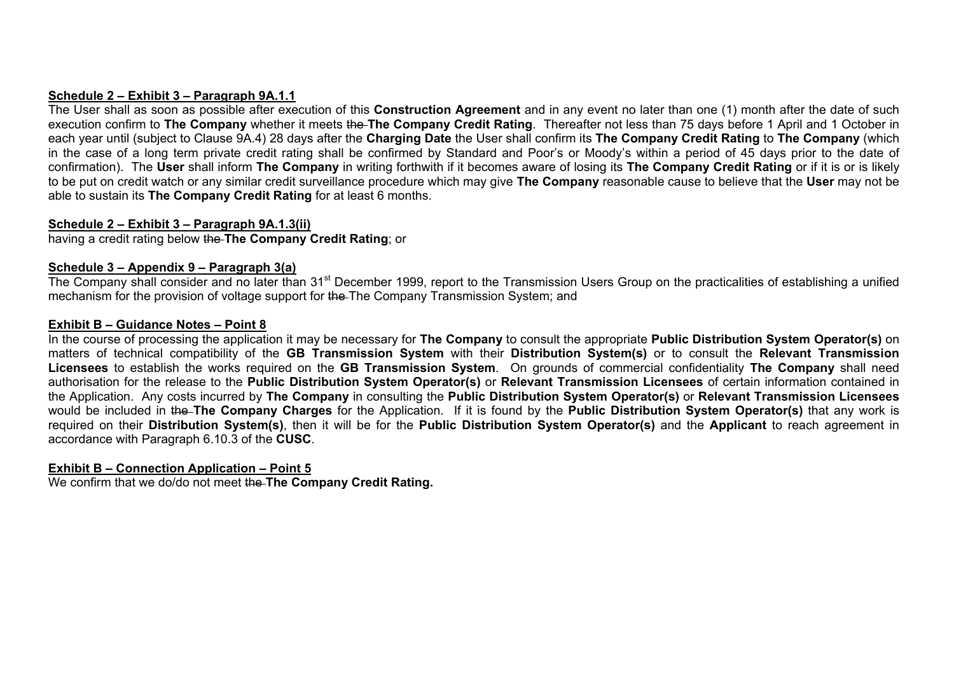# **Schedule 2 – Exhibit 3 – Paragraph 9A.1.1**

The User shall as soon as possible after execution of this **Construction Agreement** and in any event no later than one (1) month after the date of such execution confirm to **The Company** whether it meets the **The Company Credit Rating**. Thereafter not less than 75 days before 1 April and 1 October in each year until (subject to Clause 9A.4) 28 days after the **Charging Date** the User shall confirm its **The Company Credit Rating** to **The Company** (which in the case of a long term private credit rating shall be confirmed by Standard and Poor's or Moody's within a period of 45 days prior to the date of confirmation). The **User** shall inform **The Company** in writing forthwith if it becomes aware of losing its **The Company Credit Rating** or if it is or is likely to be put on credit watch or any similar credit surveillance procedure which may give **The Company** reasonable cause to believe that the **User** may not be able to sustain its **The Company Credit Rating** for at least 6 months.

# **Schedule 2 – Exhibit 3 – Paragraph 9A.1.3(ii)**

having a credit rating below the **The Company Credit Rating**; or

# **Schedule 3 – Appendix 9 – Paragraph 3(a)**

The Company shall consider and no later than 31<sup>st</sup> December 1999, report to the Transmission Users Group on the practicalities of establishing a unified mechanism for the provision of voltage support for the The Company Transmission System; and

# **Exhibit B – Guidance Notes – Point 8**

In the course of processing the application it may be necessary for **The Company** to consult the appropriate **Public Distribution System Operator(s)** on matters of technical compatibility of the **GB Transmission System** with their **Distribution System(s)** or to consult the **Relevant Transmission Licensees** to establish the works required on the **GB Transmission System**. On grounds of commercial confidentiality **The Company** shall need authorisation for the release to the **Public Distribution System Operator(s)** or **Relevant Transmission Licensees** of certain information contained in the Application. Any costs incurred by **The Company** in consulting the **Public Distribution System Operator(s)** or **Relevant Transmission Licensees** would be included in the **The Company Charges** for the Application. If it is found by the **Public Distribution System Operator(s)** that any work is required on their **Distribution System(s)**, then it will be for the **Public Distribution System Operator(s)** and the **Applicant** to reach agreement in accordance with Paragraph 6.10.3 of the **CUSC**.

# **Exhibit B – Connection Application – Point 5**

We confirm that we do/do not meet the **The Company Credit Rating.**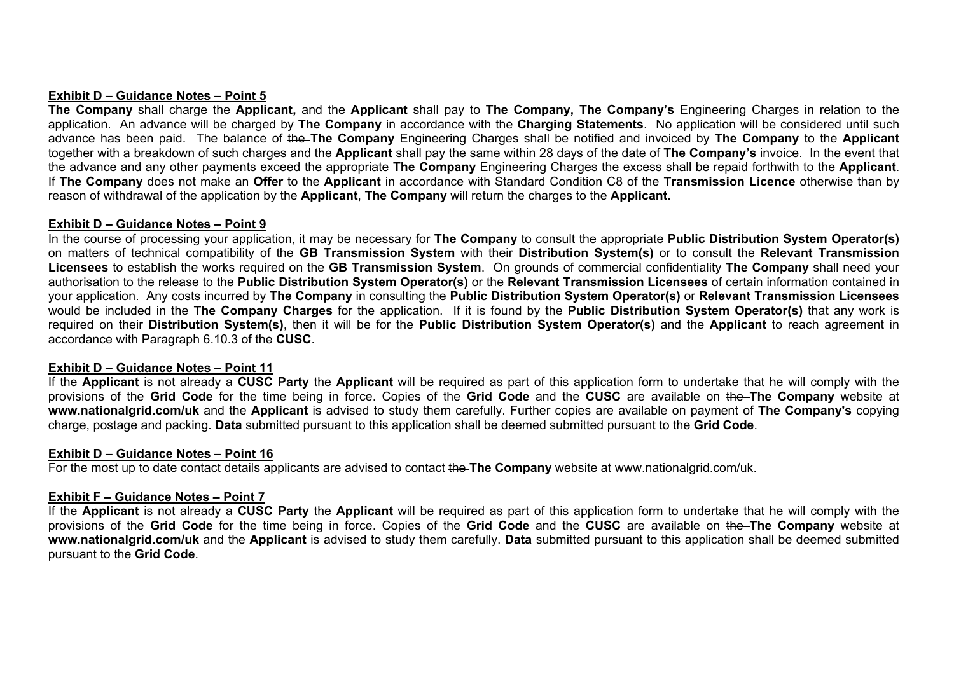#### **Exhibit D – Guidance Notes – Point 5**

**The Company** shall charge the **Applicant,** and the **Applicant** shall pay to **The Company, The Company's** Engineering Charges in relation to the application. An advance will be charged by **The Company** in accordance with the **Charging Statements**. No application will be considered until such advance has been paid. The balance of the **The Company** Engineering Charges shall be notified and invoiced by **The Company** to the **Applicant**  together with a breakdown of such charges and the **Applicant** shall pay the same within 28 days of the date of **The Company's** invoice. In the event that the advance and any other payments exceed the appropriate **The Company** Engineering Charges the excess shall be repaid forthwith to the **Applicant**. If **The Company** does not make an **Offer** to the **Applicant** in accordance with Standard Condition C8 of the **Transmission Licence** otherwise than by reason of withdrawal of the application by the **Applicant**, **The Company** will return the charges to the **Applicant.** 

#### **Exhibit D – Guidance Notes – Point 9**

In the course of processing your application, it may be necessary for **The Company** to consult the appropriate **Public Distribution System Operator(s)** on matters of technical compatibility of the **GB Transmission System** with their **Distribution System(s)** or to consult the **Relevant Transmission Licensees** to establish the works required on the **GB Transmission System**. On grounds of commercial confidentiality **The Company** shall need your authorisation to the release to the **Public Distribution System Operator(s)** or the **Relevant Transmission Licensees** of certain information contained in your application. Any costs incurred by **The Company** in consulting the **Public Distribution System Operator(s)** or **Relevant Transmission Licensees** would be included in the **The Company Charges** for the application. If it is found by the **Public Distribution System Operator(s)** that any work is required on their **Distribution System(s)**, then it will be for the **Public Distribution System Operator(s)** and the **Applicant** to reach agreement in accordance with Paragraph 6.10.3 of the **CUSC**.

# **Exhibit D – Guidance Notes – Point 11**

If the **Applicant** is not already a **CUSC Party** the **Applicant** will be required as part of this application form to undertake that he will comply with the provisions of the **Grid Code** for the time being in force. Copies of the **Grid Code** and the **CUSC** are available on the **The Company** website at **www.nationalgrid.com/uk** and the **Applicant** is advised to study them carefully. Further copies are available on payment of **The Company's** copying charge, postage and packing. **Data** submitted pursuant to this application shall be deemed submitted pursuant to the **Grid Code**.

#### **Exhibit D – Guidance Notes – Point 16**

For the most up to date contact details applicants are advised to contact the **The Company** website at www.nationalgrid.com/uk.

# **Exhibit F – Guidance Notes – Point 7**

If the **Applicant** is not already a **CUSC Party** the **Applicant** will be required as part of this application form to undertake that he will comply with the provisions of the **Grid Code** for the time being in force. Copies of the **Grid Code** and the **CUSC** are available on the **The Company** website at **www.nationalgrid.com/uk** and the **Applicant** is advised to study them carefully. **Data** submitted pursuant to this application shall be deemed submitted pursuant to the **Grid Code**.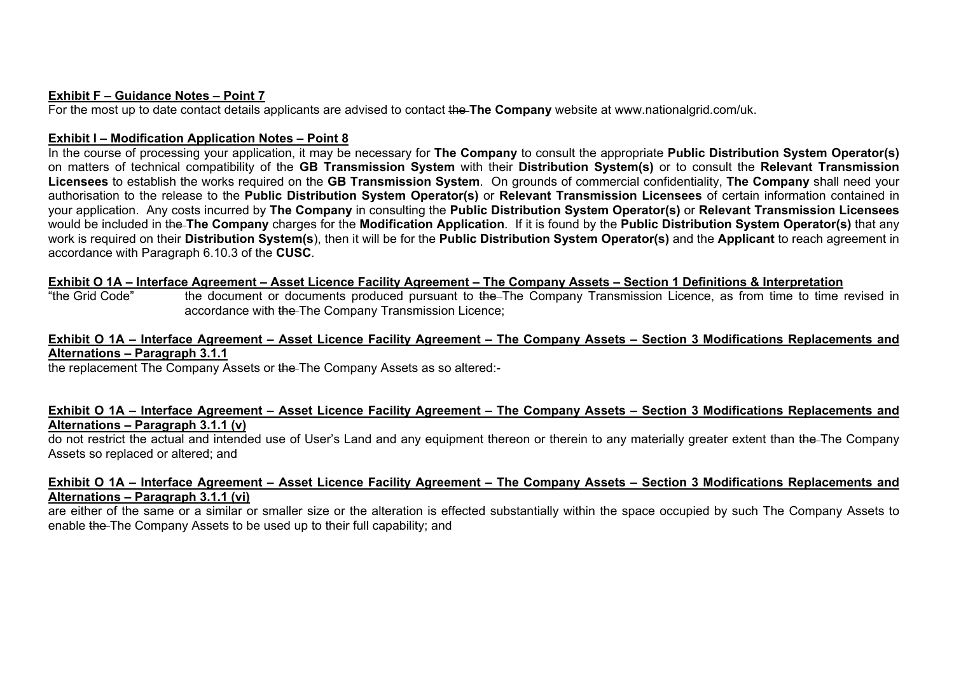#### **Exhibit F – Guidance Notes – Point 7**

For the most up to date contact details applicants are advised to contact the **The Company** website at www.nationalgrid.com/uk.

#### **Exhibit I – Modification Application Notes – Point 8**

In the course of processing your application, it may be necessary for **The Company** to consult the appropriate **Public Distribution System Operator(s)** on matters of technical compatibility of the **GB Transmission System** with their **Distribution System(s)** or to consult the **Relevant Transmission Licensees** to establish the works required on the **GB Transmission System**. On grounds of commercial confidentiality, **The Company** shall need your authorisation to the release to the **Public Distribution System Operator(s)** or **Relevant Transmission Licensees** of certain information contained in your application. Any costs incurred by **The Company** in consulting the **Public Distribution System Operator(s)** or **Relevant Transmission Licensees** would be included in the **The Company** charges for the **Modification Application**. If it is found by the **Public Distribution System Operator(s)** that any work is required on their **Distribution System(s**), then it will be for the **Public Distribution System Operator(s)** and the **Applicant** to reach agreement in accordance with Paragraph 6.10.3 of the **CUSC***.*

# **Exhibit O 1A – Interface Agreement – Asset Licence Facility Agreement – The Company Assets – Section 1 Definitions & Interpretation**<br>"the Grid Code" ble document or documents produced pursuant to the–The Company Transmiss

the document or documents produced pursuant to the The Company Transmission Licence, as from time to time revised in accordance with the The Company Transmission Licence;

# **Exhibit O 1A – Interface Agreement – Asset Licence Facility Agreement – The Company Assets – Section 3 Modifications Replacements and Alternations – Paragraph 3.1.1**

the replacement The Company Assets or the The Company Assets as so altered:-

# **Exhibit O 1A – Interface Agreement – Asset Licence Facility Agreement – The Company Assets – Section 3 Modifications Replacements and Alternations – Paragraph 3.1.1 (v)**

do not restrict the actual and intended use of User's Land and any equipment thereon or therein to any materially greater extent than the The Company Assets so replaced or altered; and

# **Exhibit O 1A – Interface Agreement – Asset Licence Facility Agreement – The Company Assets – Section 3 Modifications Replacements and Alternations – Paragraph 3.1.1 (vi)**

are either of the same or a similar or smaller size or the alteration is effected substantially within the space occupied by such The Company Assets to enable the The Company Assets to be used up to their full capability; and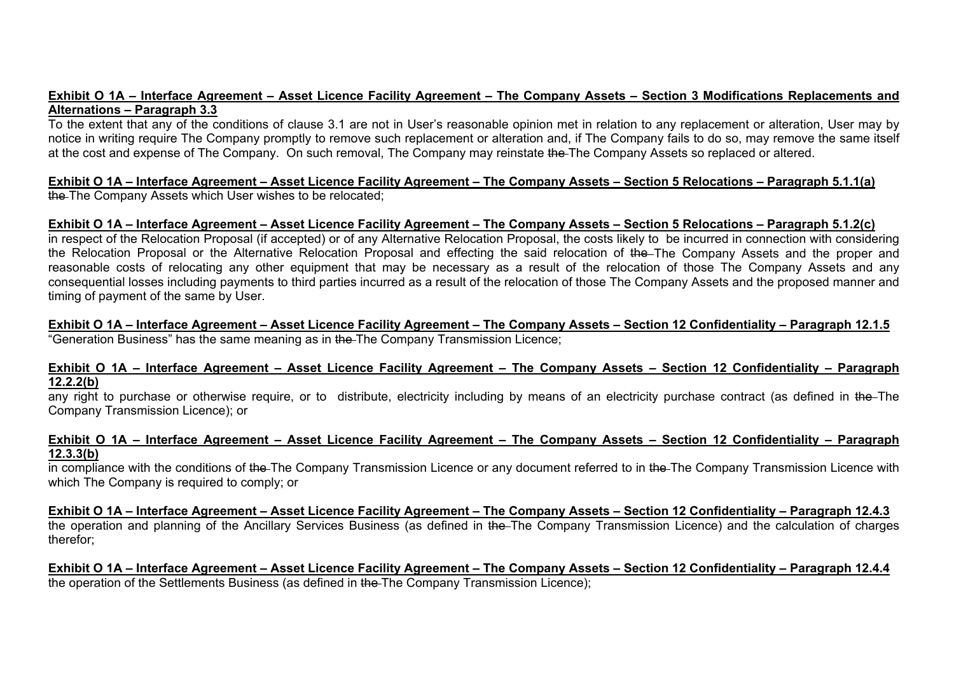#### **Exhibit O 1A – Interface Agreement – Asset Licence Facility Agreement – The Company Assets – Section 3 Modifications Replacements and Alternations – Paragraph 3.3**

To the extent that any of the conditions of clause 3.1 are not in User's reasonable opinion met in relation to any replacement or alteration, User may by notice in writing require The Company promptly to remove such replacement or alteration and, if The Company fails to do so, may remove the same itself at the cost and expense of The Company. On such removal, The Company may reinstate the The Company Assets so replaced or altered.

#### **Exhibit O 1A – Interface Agreement – Asset Licence Facility Agreement – The Company Assets – Section 5 Relocations – Paragraph 5.1.1(a)** the The Company Assets which User wishes to be relocated;

# **Exhibit O 1A – Interface Agreement – Asset Licence Facility Agreement – The Company Assets – Section 5 Relocations – Paragraph 5.1.2(c)**

in respect of the Relocation Proposal (if accepted) or of any Alternative Relocation Proposal, the costs likely to be incurred in connection with considering the Relocation Proposal or the Alternative Relocation Proposal and effecting the said relocation of the The Company Assets and the proper and reasonable costs of relocating any other equipment that may be necessary as a result of the relocation of those The Company Assets and any consequential losses including payments to third parties incurred as a result of the relocation of those The Company Assets and the proposed manner and timing of payment of the same by User.

#### **Exhibit O 1A – Interface Agreement – Asset Licence Facility Agreement – The Company Assets – Section 12 Confidentiality – Paragraph 12.1.5** "Generation Business" has the same meaning as in the The Company Transmission Licence;

# **Exhibit O 1A – Interface Agreement – Asset Licence Facility Agreement – The Company Assets – Section 12 Confidentiality – Paragraph 12.2.2(b)**

any right to purchase or otherwise require, or to distribute, electricity including by means of an electricity purchase contract (as defined in the The Company Transmission Licence); or

#### **Exhibit O 1A – Interface Agreement – Asset Licence Facility Agreement – The Company Assets – Section 12 Confidentiality – Paragraph 12.3.3(b)**

in compliance with the conditions of the The Company Transmission Licence or any document referred to in the The Company Transmission Licence with which The Company is required to comply; or

**Exhibit O 1A – Interface Agreement – Asset Licence Facility Agreement – The Company Assets – Section 12 Confidentiality – Paragraph 12.4.3** the operation and planning of the Ancillary Services Business (as defined in the The Company Transmission Licence) and the calculation of charges therefor;

**Exhibit O 1A – Interface Agreement – Asset Licence Facility Agreement – The Company Assets – Section 12 Confidentiality – Paragraph 12.4.4** the operation of the Settlements Business (as defined in the The Company Transmission Licence);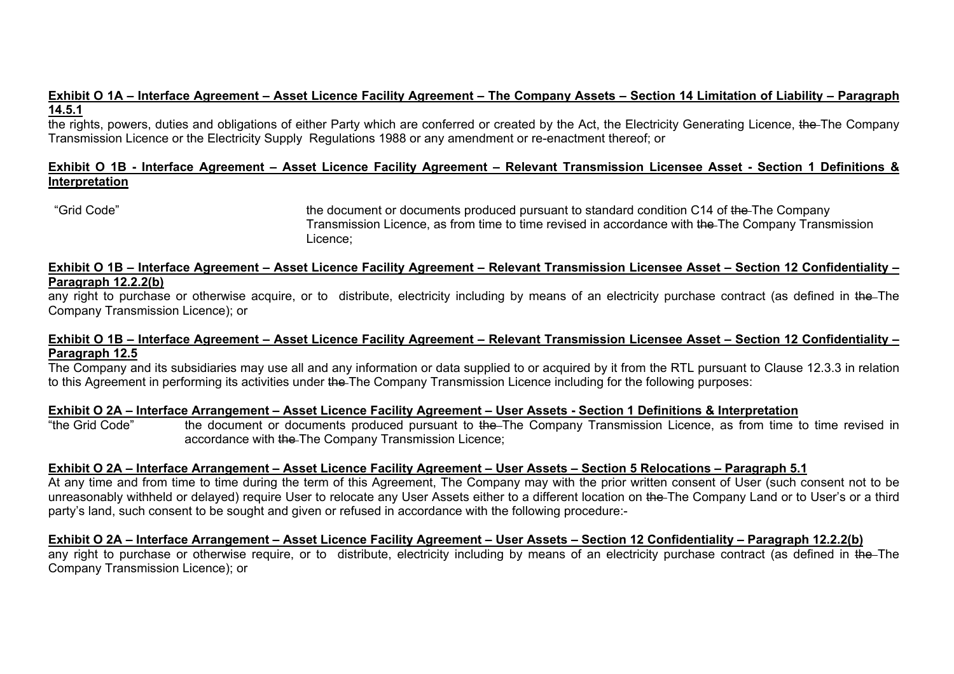# **Exhibit O 1A – Interface Agreement – Asset Licence Facility Agreement – The Company Assets – Section 14 Limitation of Liability – Paragraph 14.5.1**

the rights, powers, duties and obligations of either Party which are conferred or created by the Act, the Electricity Generating Licence, the The Company Transmission Licence or the Electricity Supply Regulations 1988 or any amendment or re-enactment thereof; or

# **Exhibit O 1B - Interface Agreement – Asset Licence Facility Agreement – Relevant Transmission Licensee Asset - Section 1 Definitions & Interpretation**

"Grid Code" the document or documents produced pursuant to standard condition C14 of the The Company Transmission Licence, as from time to time revised in accordance with the The Company Transmission Licence;

#### **Exhibit O 1B – Interface Agreement – Asset Licence Facility Agreement – Relevant Transmission Licensee Asset – Section 12 Confidentiality – Paragraph 12.2.2(b)**

any right to purchase or otherwise acquire, or to distribute, electricity including by means of an electricity purchase contract (as defined in the The Company Transmission Licence); or

# **Exhibit O 1B – Interface Agreement – Asset Licence Facility Agreement – Relevant Transmission Licensee Asset – Section 12 Confidentiality – Paragraph 12.5**

The Company and its subsidiaries may use all and any information or data supplied to or acquired by it from the RTL pursuant to Clause 12.3.3 in relation to this Agreement in performing its activities under the The Company Transmission Licence including for the following purposes:

# **Exhibit O 2A – Interface Arrangement – Asset Licence Facility Agreement – User Assets - Section 1 Definitions & Interpretation**

"the Grid Code" the document or documents produced pursuant to the The Company Transmission Licence, as from time to time revised in accordance with the The Company Transmission Licence;

# **Exhibit O 2A – Interface Arrangement – Asset Licence Facility Agreement – User Assets – Section 5 Relocations – Paragraph 5.1**

At any time and from time to time during the term of this Agreement, The Company may with the prior written consent of User (such consent not to be unreasonably withheld or delayed) require User to relocate any User Assets either to a different location on the The Company Land or to User's or a third party's land, such consent to be sought and given or refused in accordance with the following procedure:-

**Exhibit O 2A – Interface Arrangement – Asset Licence Facility Agreement – User Assets – Section 12 Confidentiality – Paragraph 12.2.2(b)** any right to purchase or otherwise require, or to distribute, electricity including by means of an electricity purchase contract (as defined in the The Company Transmission Licence); or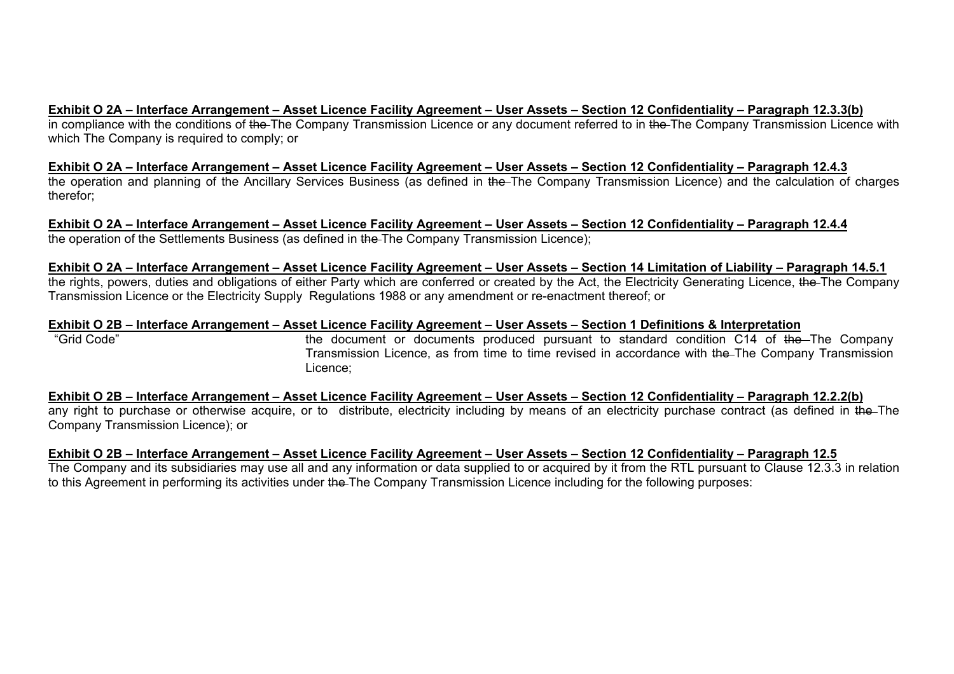# **Exhibit O 2A – Interface Arrangement – Asset Licence Facility Agreement – User Assets – Section 12 Confidentiality – Paragraph 12.3.3(b)**

in compliance with the conditions of the The Company Transmission Licence or any document referred to in the The Company Transmission Licence with which The Company is required to comply; or

**Exhibit O 2A – Interface Arrangement – Asset Licence Facility Agreement – User Assets – Section 12 Confidentiality – Paragraph 12.4.3** the operation and planning of the Ancillary Services Business (as defined in the The Company Transmission Licence) and the calculation of charges therefor;

**Exhibit O 2A – Interface Arrangement – Asset Licence Facility Agreement – User Assets – Section 12 Confidentiality – Paragraph 12.4.4** the operation of the Settlements Business (as defined in the The Company Transmission Licence);

# **Exhibit O 2A – Interface Arrangement – Asset Licence Facility Agreement – User Assets – Section 14 Limitation of Liability – Paragraph 14.5.1**

the rights, powers, duties and obligations of either Party which are conferred or created by the Act, the Electricity Generating Licence, the The Company Transmission Licence or the Electricity Supply Regulations 1988 or any amendment or re-enactment thereof; or

# **Exhibit O 2B – Interface Arrangement – Asset Licence Facility Agreement – User Assets – Section 1 Definitions & Interpretation**

"Grid Code" the document or documents produced pursuant to standard condition C14 of the The Company Transmission Licence, as from time to time revised in accordance with the The Company Transmission Licence;

**Exhibit O 2B – Interface Arrangement – Asset Licence Facility Agreement – User Assets – Section 12 Confidentiality – Paragraph 12.2.2(b)** any right to purchase or otherwise acquire, or to distribute, electricity including by means of an electricity purchase contract (as defined in the The Company Transmission Licence); or

# **Exhibit O 2B – Interface Arrangement – Asset Licence Facility Agreement – User Assets – Section 12 Confidentiality – Paragraph 12.5**

The Company and its subsidiaries may use all and any information or data supplied to or acquired by it from the RTL pursuant to Clause 12.3.3 in relation to this Agreement in performing its activities under the The Company Transmission Licence including for the following purposes: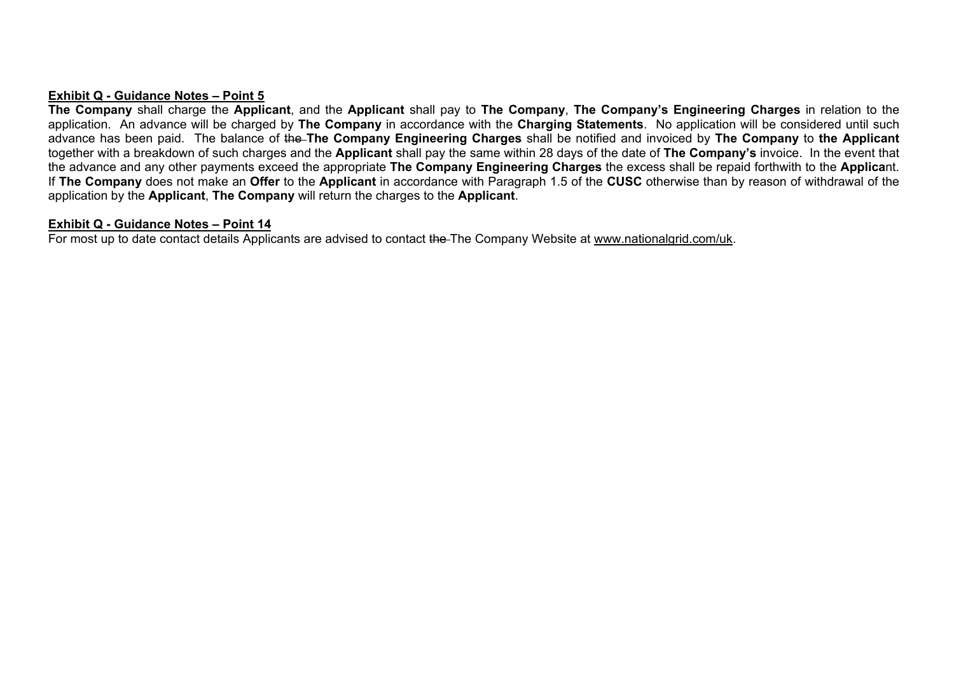#### **Exhibit Q - Guidance Notes – Point 5**

**The Company** shall charge the **Applicant**, and the **Applicant** shall pay to **The Company**, **The Company's Engineering Charges** in relation to the application. An advance will be charged by **The Company** in accordance with the **Charging Statements**. No application will be considered until such advance has been paid. The balance of the **The Company Engineering Charges** shall be notified and invoiced by **The Company** to **the Applicant** together with a breakdown of such charges and the **Applicant** shall pay the same within 28 days of the date of **The Company's** invoice. In the event that the advance and any other payments exceed the appropriate **The Company Engineering Charges** the excess shall be repaid forthwith to the **Applica**nt. If **The Company** does not make an **Offer** to the **Applicant** in accordance with Paragraph 1.5 of the **CUSC** otherwise than by reason of withdrawal of the application by the **Applicant**, **The Company** will return the charges to the **Applicant**.

#### **Exhibit Q - Guidance Notes – Point 14**

For most up to date contact details Applicants are advised to contact the The Company Website at www.nationalgrid.com/uk.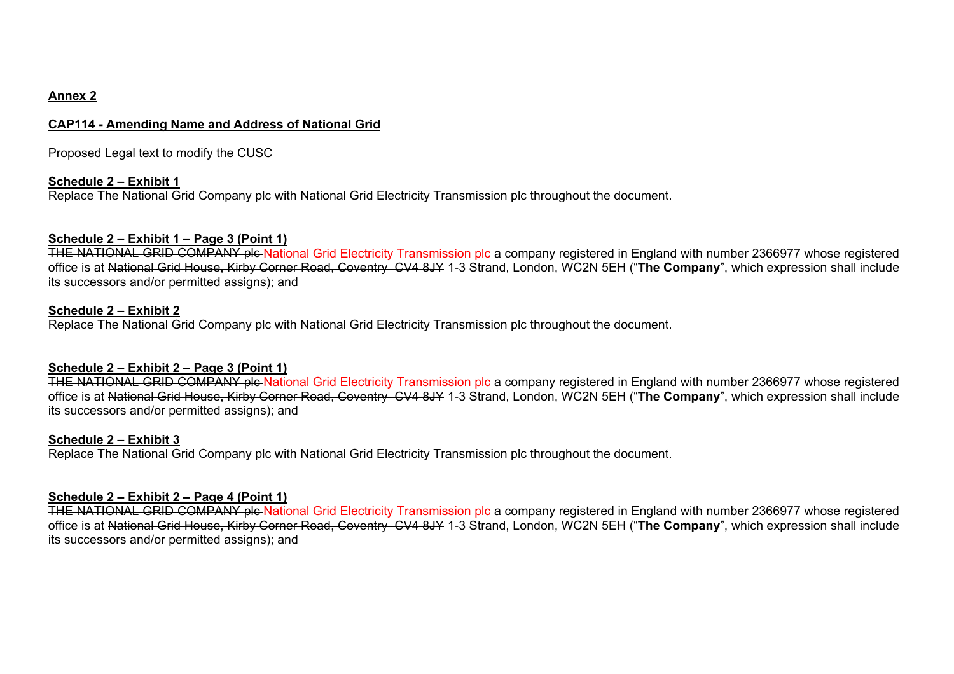# **Annex 2**

# **CAP114 - Amending Name and Address of National Grid**

Proposed Legal text to modify the CUSC

# **Schedule 2 – Exhibit 1**

Replace The National Grid Company plc with National Grid Electricity Transmission plc throughout the document.

# **Schedule 2 – Exhibit 1 – Page 3 (Point 1)**

THE NATIONAL GRID COMPANY plc National Grid Electricity Transmission plc a company registered in England with number 2366977 whose registered office is at National Grid House, Kirby Corner Road, Coventry CV4 8JY 1-3 Strand, London, WC2N 5EH ("**The Company**", which expression shall include its successors and/or permitted assigns); and

# **Schedule 2 – Exhibit 2**

Replace The National Grid Company plc with National Grid Electricity Transmission plc throughout the document.

# **Schedule 2 – Exhibit 2 – Page 3 (Point 1)**

THE NATIONAL GRID COMPANY plc National Grid Electricity Transmission plc a company registered in England with number 2366977 whose registered office is at National Grid House, Kirby Corner Road, Coventry CV4 8JY 1-3 Strand, London, WC2N 5EH ("**The Company**", which expression shall include its successors and/or permitted assigns); and

# **Schedule 2 – Exhibit 3**

Replace The National Grid Company plc with National Grid Electricity Transmission plc throughout the document.

# **Schedule 2 – Exhibit 2 – Page 4 (Point 1)**

THE NATIONAL GRID COMPANY plc National Grid Electricity Transmission plc a company registered in England with number 2366977 whose registered office is at National Grid House, Kirby Corner Road, Coventry CV4 8JY 1-3 Strand, London, WC2N 5EH ("**The Company**", which expression shall include its successors and/or permitted assigns); and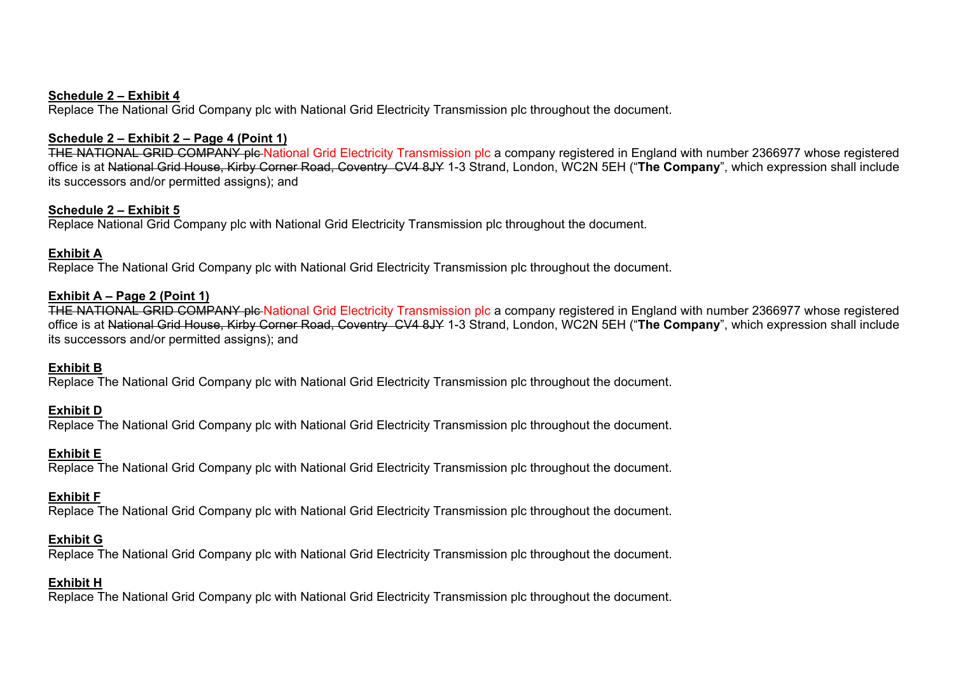#### **Schedule 2 – Exhibit 4**

Replace The National Grid Company plc with National Grid Electricity Transmission plc throughout the document.

# **Schedule 2 – Exhibit 2 – Page 4 (Point 1)**

THE NATIONAL GRID COMPANY plc National Grid Electricity Transmission plc a company registered in England with number 2366977 whose registered office is at National Grid House, Kirby Corner Road, Coventry CV4 8JY 1-3 Strand, London, WC2N 5EH ("**The Company**", which expression shall include its successors and/or permitted assigns); and

# **Schedule 2 – Exhibit 5**

Replace National Grid Company plc with National Grid Electricity Transmission plc throughout the document.

# **Exhibit A**

Replace The National Grid Company plc with National Grid Electricity Transmission plc throughout the document.

# **Exhibit A – Page 2 (Point 1)**

THE NATIONAL GRID COMPANY ple National Grid Electricity Transmission plc a company registered in England with number 2366977 whose registered office is at National Grid House, Kirby Corner Road, Coventry CV4 8JY 1-3 Strand, London, WC2N 5EH ("**The Company**", which expression shall include its successors and/or permitted assigns); and

# **Exhibit B**

Replace The National Grid Company plc with National Grid Electricity Transmission plc throughout the document.

# **Exhibit D**

Replace The National Grid Company plc with National Grid Electricity Transmission plc throughout the document.

# **Exhibit E**

Replace The National Grid Company plc with National Grid Electricity Transmission plc throughout the document.

# **Exhibit F**

Replace The National Grid Company plc with National Grid Electricity Transmission plc throughout the document.

# **Exhibit G**

Replace The National Grid Company plc with National Grid Electricity Transmission plc throughout the document.

# **Exhibit H**

Replace The National Grid Company plc with National Grid Electricity Transmission plc throughout the document.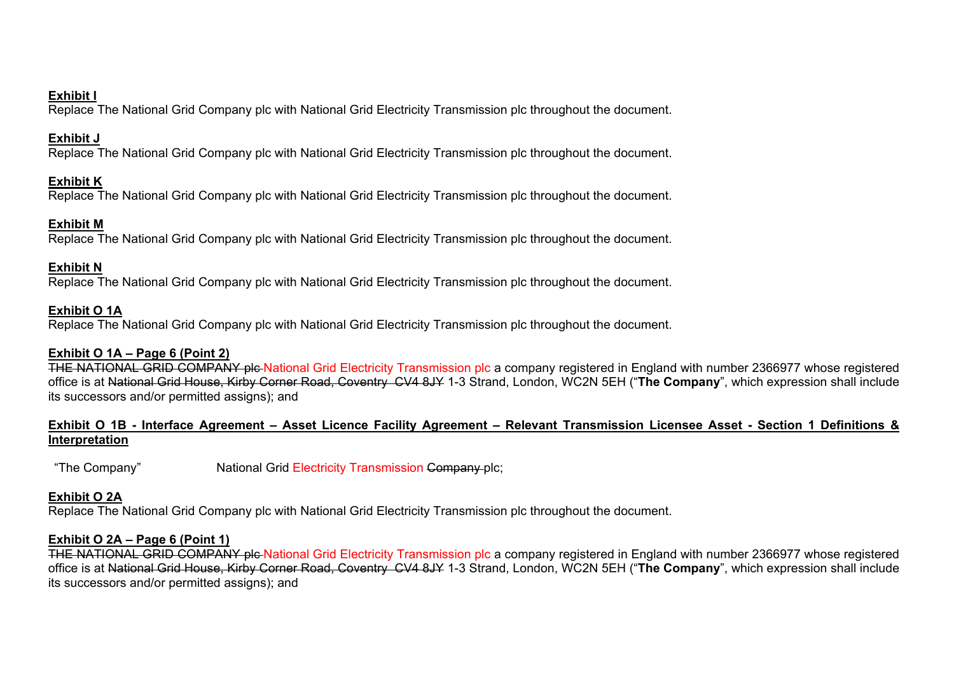# **Exhibit I**

Replace The National Grid Company plc with National Grid Electricity Transmission plc throughout the document.

# **Exhibit J**

Replace The National Grid Company plc with National Grid Electricity Transmission plc throughout the document.

# **Exhibit K**

Replace The National Grid Company plc with National Grid Electricity Transmission plc throughout the document.

# **Exhibit M**

Replace The National Grid Company plc with National Grid Electricity Transmission plc throughout the document.

# **Exhibit N**

Replace The National Grid Company plc with National Grid Electricity Transmission plc throughout the document.

# **Exhibit O 1A**

Replace The National Grid Company plc with National Grid Electricity Transmission plc throughout the document.

# **Exhibit O 1A – Page 6 (Point 2)**

THE NATIONAL GRID COMPANY plc National Grid Electricity Transmission plc a company registered in England with number 2366977 whose registered office is at National Grid House, Kirby Corner Road, Coventry CV4 8JY 1-3 Strand, London, WC2N 5EH ("**The Company**", which expression shall include its successors and/or permitted assigns); and

# **Exhibit O 1B - Interface Agreement – Asset Licence Facility Agreement – Relevant Transmission Licensee Asset - Section 1 Definitions & Interpretation**

"The Company" National Grid Electricity Transmission Company plc;

# **Exhibit O 2A**

Replace The National Grid Company plc with National Grid Electricity Transmission plc throughout the document.

# **Exhibit O 2A – Page 6 (Point 1)**

THE NATIONAL GRID COMPANY ple National Grid Electricity Transmission plc a company registered in England with number 2366977 whose registered office is at National Grid House, Kirby Corner Road, Coventry CV4 8JY 1-3 Strand, London, WC2N 5EH ("**The Company**", which expression shall include its successors and/or permitted assigns); and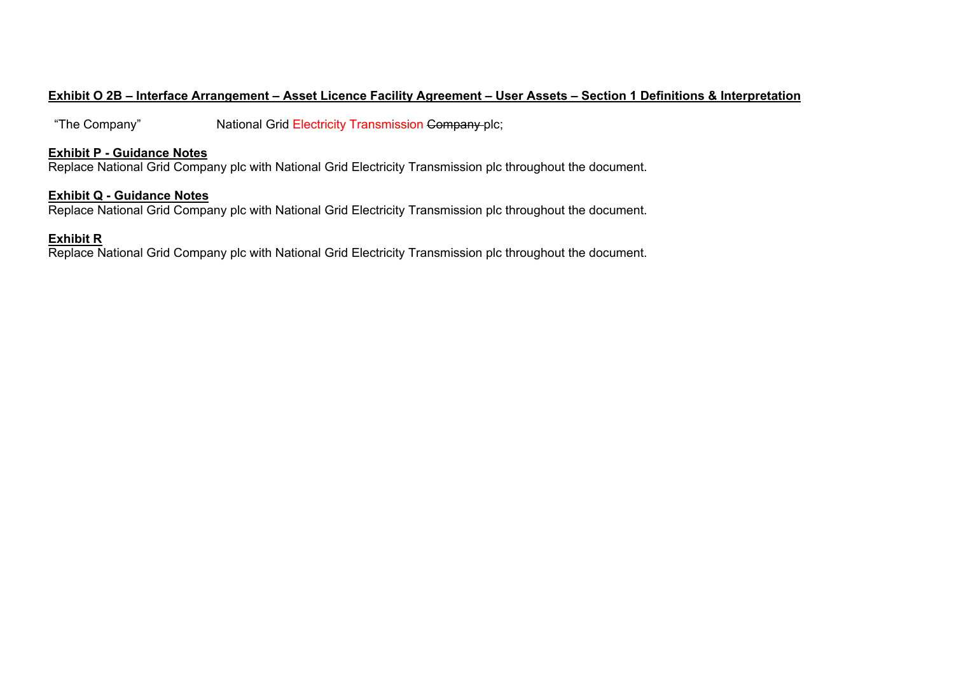# **Exhibit O 2B – Interface Arrangement – Asset Licence Facility Agreement – User Assets – Section 1 Definitions & Interpretation**

"The Company" National Grid Electricity Transmission Company plc;

#### **Exhibit P - Guidance Notes**

Replace National Grid Company plc with National Grid Electricity Transmission plc throughout the document.

#### **Exhibit Q - Guidance Notes**

Replace National Grid Company plc with National Grid Electricity Transmission plc throughout the document.

# **Exhibit R**

Replace National Grid Company plc with National Grid Electricity Transmission plc throughout the document.